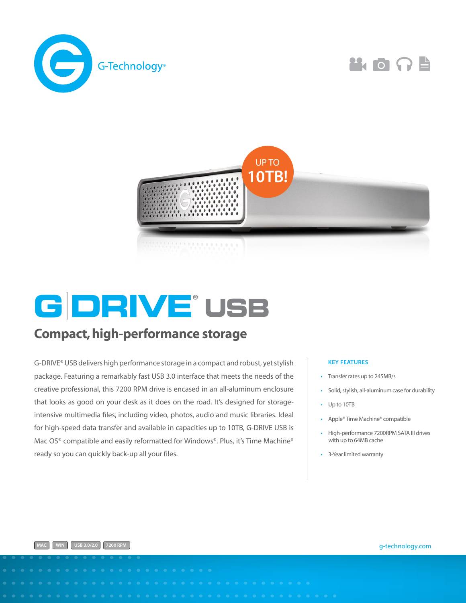





# **G DRIVE® USB**

## Compact, high-performance storage

G-DRIVE® USB delivers high performance storage in a compact and robust, yet stylish package. Featuring a remarkably fast USB 3.0 interface that meets the needs of the creative professional, this 7200 RPM drive is encased in an all-aluminum enclosure that looks as good on your desk as it does on the road. It's designed for storageintensive multimedia files, including video, photos, audio and music libraries. Ideal for high-speed data transfer and available in capacities up to 10TB, G-DRIVE USB is Mac OS<sup>®</sup> compatible and easily reformatted for Windows®. Plus, it's Time Machine® ready so you can quickly back-up all your files.

#### **KEY FEATURES**

- Transfer rates up to 245MB/s
- Solid, stylish, all-aluminum case for durability
- Up to 10TB
- Apple® Time Machine® compatible
- High-performance 7200RPM SATA III drives with up to 64MB cache
- 3-Year limited warranty